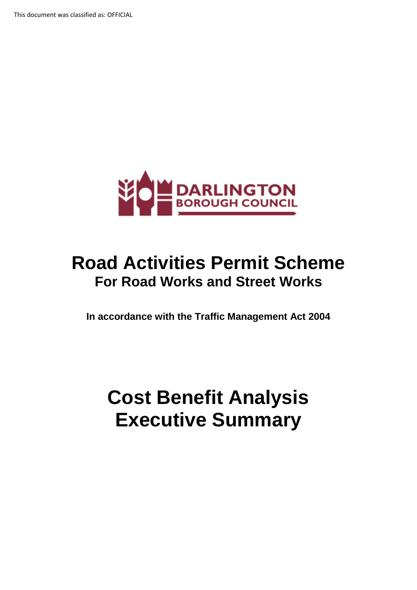

# **Road Activities Permit Scheme For Road Works and Street Works**

**In accordance with the Traffic Management Act 2004** 

# **Cost Benefit Analysis Executive Summary**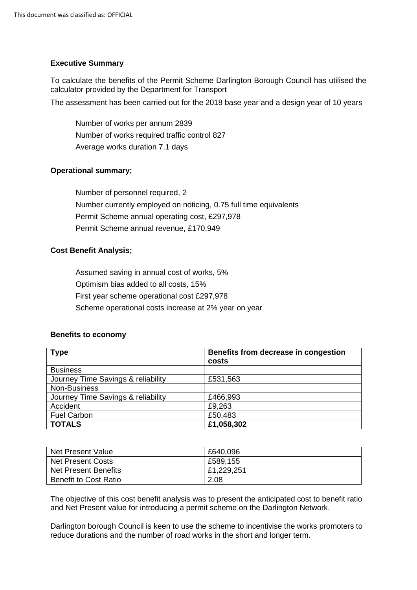#### **Executive Summary**

To calculate the benefits of the Permit Scheme Darlington Borough Council has utilised the calculator provided by the Department for Transport

The assessment has been carried out for the 2018 base year and a design year of 10 years

Number of works per annum 2839 Number of works required traffic control 827 Average works duration 7.1 days

## **Operational summary;**

Number of personnel required, 2 Number currently employed on noticing, 0.75 full time equivalents Permit Scheme annual operating cost, £297,978 Permit Scheme annual revenue, £170,949

### **Cost Benefit Analysis;**

Assumed saving in annual cost of works, 5% Optimism bias added to all costs, 15% First year scheme operational cost £297,978 Scheme operational costs increase at 2% year on year

#### **Benefits to economy**

| <b>Type</b>                        | Benefits from decrease in congestion<br>costs |
|------------------------------------|-----------------------------------------------|
| <b>Business</b>                    |                                               |
| Journey Time Savings & reliability | £531,563                                      |
| Non-Business                       |                                               |
| Journey Time Savings & reliability | £466,993                                      |
| Accident                           | £9,263                                        |
| <b>Fuel Carbon</b>                 | £50,483                                       |
| <b>TOTALS</b>                      | £1,058,302                                    |

| Net Present Value            | £640,096   |
|------------------------------|------------|
| Net Present Costs            | £589,155   |
| Net Present Benefits         | £1,229,251 |
| <b>Benefit to Cost Ratio</b> | 2.08       |

The objective of this cost benefit analysis was to present the anticipated cost to benefit ratio and Net Present value for introducing a permit scheme on the Darlington Network.

Darlington borough Council is keen to use the scheme to incentivise the works promoters to reduce durations and the number of road works in the short and longer term.